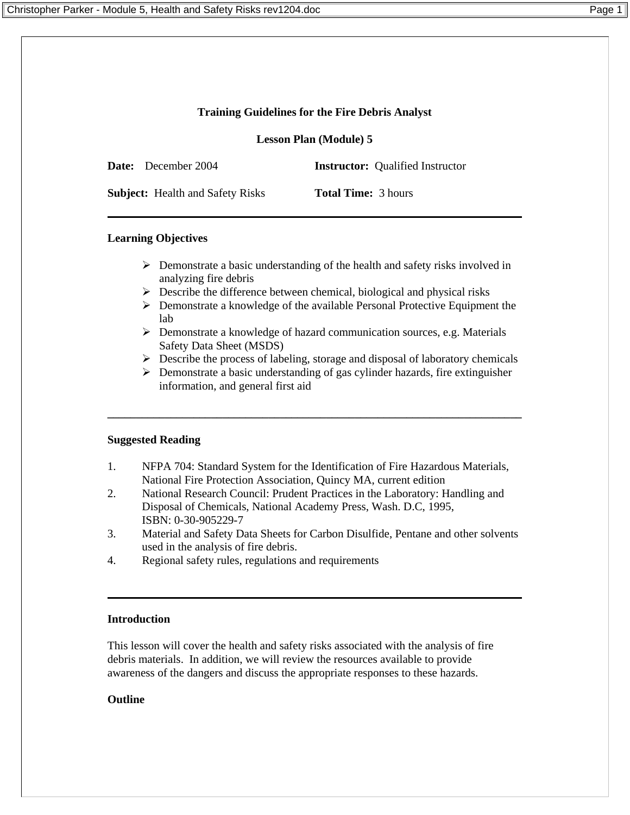# **Training Guidelines for the Fire Debris Analyst**

**Lesson Plan (Module) 5**

**Date:** December 2004 **Instructor:** Oualified Instructor

**Subject:** Health and Safety Risks **Total Time:** 3 hours

### **Learning Objectives**

- $\triangleright$  Demonstrate a basic understanding of the health and safety risks involved in analyzing fire debris
- $\triangleright$  Describe the difference between chemical, biological and physical risks
- ¾ Demonstrate a knowledge of the available Personal Protective Equipment the lab
- $\triangleright$  Demonstrate a knowledge of hazard communication sources, e.g. Materials Safety Data Sheet (MSDS)
- $\triangleright$  Describe the process of labeling, storage and disposal of laboratory chemicals
- $\triangleright$  Demonstrate a basic understanding of gas cylinder hazards, fire extinguisher information, and general first aid

**\_\_\_\_\_\_\_\_\_\_\_\_\_\_\_\_\_\_\_\_\_\_\_\_\_\_\_\_\_\_\_\_\_\_\_\_\_\_\_\_\_\_\_\_\_\_\_\_\_\_\_\_\_\_\_\_\_\_\_\_\_\_\_\_\_\_\_\_\_\_\_\_** 

#### **Suggested Reading**

- 1. NFPA 704: Standard System for the Identification of Fire Hazardous Materials, National Fire Protection Association, Quincy MA, current edition
- 2. National Research Council: Prudent Practices in the Laboratory: Handling and Disposal of Chemicals, National Academy Press, Wash. D.C, 1995, ISBN: 0-30-905229-7
- 3. Material and Safety Data Sheets for Carbon Disulfide, Pentane and other solvents used in the analysis of fire debris.
- 4. Regional safety rules, regulations and requirements

#### **Introduction**

This lesson will cover the health and safety risks associated with the analysis of fire debris materials. In addition, we will review the resources available to provide awareness of the dangers and discuss the appropriate responses to these hazards.

# **Outline**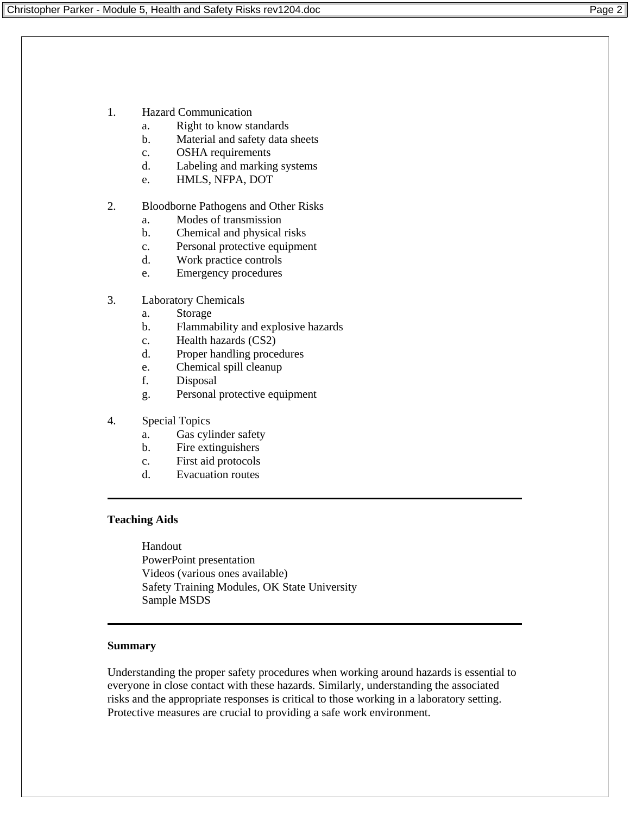- 1. Hazard Communication
	- a. Right to know standards
	- b. Material and safety data sheets
	- c. OSHA requirements
	- d. Labeling and marking systems
	- e. HMLS, NFPA, DOT

#### 2. Bloodborne Pathogens and Other Risks

- a. Modes of transmission
- b. Chemical and physical risks
- c. Personal protective equipment
- d. Work practice controls
- e. Emergency procedures
- 3. Laboratory Chemicals
	- a. Storage
	- b. Flammability and explosive hazards
	- c. Health hazards (CS2)
	- d. Proper handling procedures
	- e. Chemical spill cleanup
	- f. Disposal
	- g. Personal protective equipment
- 4. Special Topics
	- a. Gas cylinder safety
	- b. Fire extinguishers
	- c. First aid protocols
	- d. Evacuation routes

#### **Teaching Aids**

Handout PowerPoint presentation Videos (various ones available) Safety Training Modules, OK State University Sample MSDS

#### **Summary**

Understanding the proper safety procedures when working around hazards is essential to everyone in close contact with these hazards. Similarly, understanding the associated risks and the appropriate responses is critical to those working in a laboratory setting. Protective measures are crucial to providing a safe work environment.